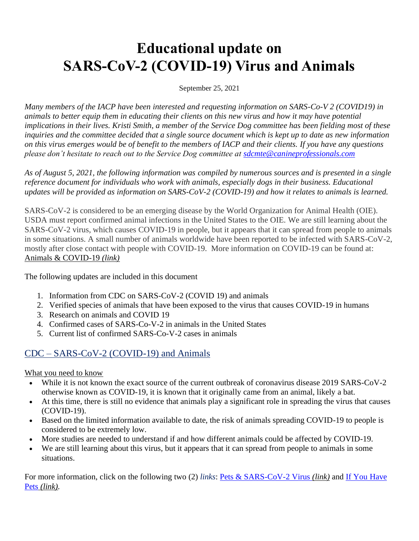# **Educational update on SARS-CoV-2 (COVID-19) Virus and Animals**

#### September 25, 2021

*Many members of the IACP have been interested and requesting information on SARS-Co-V 2 (COVID19) in animals to better equip them in educating their clients on this new virus and how it may have potential implications in their lives. Kristi Smith, a member of the Service Dog committee has been fielding most of these inquiries and the committee decided that a single source document which is kept up to date as new information on this virus emerges would be of benefit to the members of IACP and their clients. If you have any questions please don't hesitate to reach out to the Service Dog committee at sdcmte@canineprofessionals.com*

*As of August 5, 2021, the following information was compiled by numerous sources and is presented in a single reference document for individuals who work with animals, especially dogs in their business. Educational updates will be provided as information on SARS-CoV-2 (COVID-19) and how it relates to animals is learned.*

SARS-CoV-2 is considered to be an emerging disease by the World Organization for Animal Health (OIE). USDA must report confirmed animal infections in the United States to the OIE. We are still learning about the SARS-CoV-2 virus, which causes COVID-19 in people, but it appears that it can spread from people to animals in some situations. A small number of animals worldwide have been reported to be infected with SARS-CoV-2, mostly after close contact with people with COVID-19. More information on COVID-19 can be found at: Animals & COVID-19 *(link)*

The following updates are included in this document

- 1. Information from CDC on SARS-CoV-2 (COVID 19) and animals
- 2. Verified species of animals that have been exposed to the virus that causes COVID-19 in humans
- 3. Research on animals and COVID 19
- 4. Confirmed cases of SARS-Co-V-2 in animals in the United States
- 5. Current list of confirmed SARS-Co-V-2 cases in animals

### CDC – SARS-CoV-2 (COVID-19) and Animals

What you need to know

- While it is not known the exact source of the current outbreak of coronavirus disease 2019 SARS-CoV-2 otherwise known as COVID-19, it is known that it originally came from an animal, likely a bat.
- At this time, there is still no evidence that animals play a significant role in spreading the virus that causes (COVID-19).
- Based on the limited information available to date, the risk of animals spreading COVID-19 to people is considered to be extremely low.
- More studies are needed to understand if and how different animals could be affected by COVID-19.
- We are still learning about this virus, but it appears that it can spread from people to animals in some situations.

For more information, click on the following two (2) *links*: Pets & SARS-CoV-2 Virus *(link)* and If You Have Pets *(link).*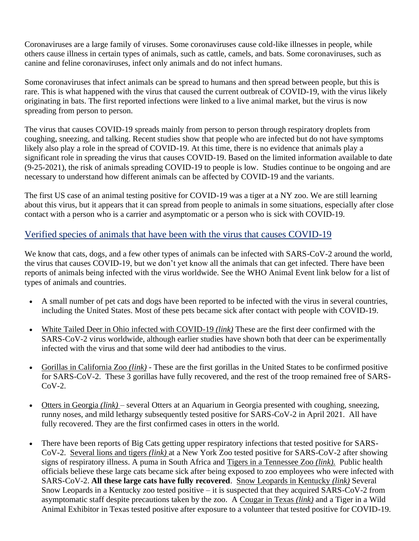Coronaviruses are a large family of viruses. Some coronaviruses cause cold-like illnesses in people, while others cause illness in certain types of animals, such as cattle, camels, and bats. Some coronaviruses, such as canine and feline coronaviruses, infect only animals and do not infect humans.

Some coronaviruses that infect animals can be spread to humans and then spread between people, but this is rare. This is what happened with the virus that caused the current outbreak of COVID-19, with the virus likely originating in bats. The first reported infections were linked to a live animal market, but the virus is now spreading from person to person.

The virus that causes COVID-19 spreads mainly from person to person through respiratory droplets from coughing, sneezing, and talking. Recent studies show that people who are infected but do not have symptoms likely also play a role in the spread of COVID-19. At this time, there is no evidence that animals play a significant role in spreading the virus that causes COVID-19. Based on the limited information available to date (9-25-2021), the risk of animals spreading COVID-19 to people is low. Studies continue to be ongoing and are necessary to understand how different animals can be affected by COVID-19 and the variants.

The first US case of an animal testing positive for COVID-19 was a tiger at a NY zoo. We are still learning about this virus, but it appears that it can spread from people to animals in some situations, especially after close contact with a person who is a carrier and asymptomatic or a person who is sick with COVID-19.

#### Verified species of animals that have been with the virus that causes COVID-19

We know that cats, dogs, and a few other types of animals can be infected with SARS-CoV-2 around the world, the virus that causes COVID-19, but we don't yet know all the animals that can get infected. There have been reports of animals being infected with the virus worldwide. See the WHO Animal Event link below for a list of types of animals and countries.

- A small number of pet cats and dogs have been reported to be infected with the virus in several countries, including the United States. Most of these pets became sick after contact with people with COVID-19.
- White Tailed Deer in Ohio infected with COVID-19 *(link)* These are the first deer confirmed with the SARS-CoV-2 virus worldwide, although earlier studies have shown both that deer can be experimentally infected with the virus and that some wild deer had antibodies to the virus.
- Gorillas in California Zoo *(link)* These are the first gorillas in the United States to be confirmed positive for SARS-CoV-2. These 3 gorillas have fully recovered, and the rest of the troop remained free of SARS- $CoV-2$ .
- Otters in Georgia *(link)* several Otters at an Aquarium in Georgia presented with coughing, sneezing, runny noses, and mild lethargy subsequently tested positive for SARS-CoV-2 in April 2021. All have fully recovered. They are the first confirmed cases in otters in the world.
- There have been reports of Big Cats getting upper respiratory infections that tested positive for SARS-CoV-2. Several lions and tigers *(link)* at a New York Zoo tested positive for SARS-CoV-2 after showing signs of respiratory illness. A puma in South Africa and Tigers in a Tennessee Zoo *(link).* Public health officials believe these large cats became sick after being exposed to zoo employees who were infected with SARS-CoV-2. **All these large cats have fully recovered**. Snow Leopards in Kentucky *(link)* Several Snow Leopards in a Kentucky zoo tested positive – it is suspected that they acquired SARS-CoV-2 from asymptomatic staff despite precautions taken by the zoo. A Cougar in Texas *(link)* and a Tiger in a Wild Animal Exhibitor in Texas tested positive after exposure to a volunteer that tested positive for COVID-19.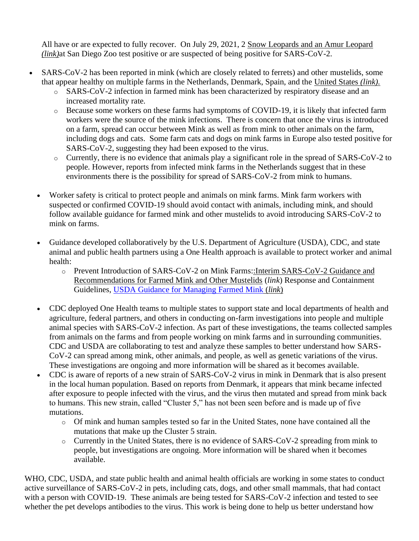All have or are expected to fully recover. On July 29, 2021, 2 Snow Leopards and an Amur Leopard *(link)*at San Diego Zoo test positive or are suspected of being positive for SARS-CoV-2.

- SARS-CoV-2 has been reported in mink (which are closely related to ferrets) and other mustelids, some that appear healthy on multiple farms in the Netherlands, Denmark, Spain, and the United States *(link).*
	- o SARS-CoV-2 infection in farmed mink has been characterized by respiratory disease and an increased mortality rate.
	- o Because some workers on these farms had symptoms of COVID-19, it is likely that infected farm workers were the source of the mink infections. There is concern that once the virus is introduced on a farm, spread can occur between Mink as well as from mink to other animals on the farm, including dogs and cats. Some farm cats and dogs on mink farms in Europe also tested positive for SARS-CoV-2, suggesting they had been exposed to the virus.
	- o Currently, there is no evidence that animals play a significant role in the spread of SARS-CoV-2 to people. However, reports from infected mink farms in the Netherlands suggest that in these environments there is the possibility for spread of SARS-CoV-2 from mink to humans.
	- Worker safety is critical to protect people and animals on mink farms. Mink farm workers with suspected or confirmed COVID-19 should avoid contact with animals, including mink, and should follow available guidance for farmed mink and other mustelids to avoid introducing SARS-CoV-2 to mink on farms.
	- Guidance developed collaboratively by the U.S. Department of Agriculture (USDA), CDC, and state animal and public health partners using a One Health approach is available to protect worker and animal health:
		- o Prevent Introduction of SARS-CoV-2 on Mink Farms::Interim SARS-CoV-2 Guidance and Recommendations for Farmed Mink and Other Mustelids (*link*) Response and Containment Guidelines, USDA Guidance for Managing Farmed Mink (*link*)
	- CDC deployed One Health teams to multiple states to support state and local departments of health and agriculture, federal partners, and others in conducting on-farm investigations into people and multiple animal species with SARS-CoV-2 infection. As part of these investigations, the teams collected samples from animals on the farms and from people working on mink farms and in surrounding communities. CDC and USDA are collaborating to test and analyze these samples to better understand how SARS-CoV-2 can spread among mink, other animals, and people, as well as genetic variations of the virus. These investigations are ongoing and more information will be shared as it becomes available.
	- CDC is aware of reports of a new strain of SARS-CoV-2 virus in mink in Denmark that is also present in the local human population. Based on reports from Denmark, it appears that mink became infected after exposure to people infected with the virus, and the virus then mutated and spread from mink back to humans. This new strain, called "Cluster 5," has not been seen before and is made up of five mutations.
		- o Of mink and human samples tested so far in the United States, none have contained all the mutations that make up the Cluster 5 strain.
		- o Currently in the United States, there is no evidence of SARS-CoV-2 spreading from mink to people, but investigations are ongoing. More information will be shared when it becomes available.

WHO, CDC, USDA, and state public health and animal health officials are working in some states to conduct active surveillance of SARS-CoV-2 in pets, including cats, dogs, and other small mammals, that had contact with a person with COVID-19. These animals are being tested for SARS-CoV-2 infection and tested to see whether the pet develops antibodies to the virus. This work is being done to help us better understand how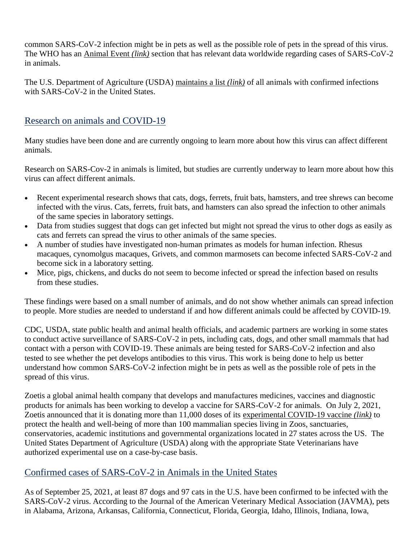common SARS-CoV-2 infection might be in pets as well as the possible role of pets in the spread of this virus. The WHO has an Animal Event *(link)* section that has relevant data worldwide regarding cases of SARS-CoV-2 in animals.

The U.S. Department of Agriculture (USDA) maintains a list *(link)* of all animals with confirmed infections with SARS-CoV-2 in the United States.

#### Research on animals and COVID-19

Many studies have been done and are currently ongoing to learn more about how this virus can affect different animals.

Research on SARS-Cov-2 in animals is limited, but studies are currently underway to learn more about how this virus can affect different animals.

- Recent experimental research shows that cats, dogs, ferrets, fruit bats, hamsters, and tree shrews can become infected with the virus. Cats, ferrets, fruit bats, and hamsters can also spread the infection to other animals of the same species in laboratory settings.
- Data from studies suggest that dogs can get infected but might not spread the virus to other dogs as easily as cats and ferrets can spread the virus to other animals of the same species.
- A number of studies have investigated non-human primates as models for human infection. Rhesus macaques, cynomolgus macaques, Grivets, and common marmosets can become infected SARS-CoV-2 and become sick in a laboratory setting.
- Mice, pigs, chickens, and ducks do not seem to become infected or spread the infection based on results from these studies.

These findings were based on a small number of animals, and do not show whether animals can spread infection to people. More studies are needed to understand if and how different animals could be affected by COVID-19.

CDC, USDA, state public health and animal health officials, and academic partners are working in some states to conduct active surveillance of SARS-CoV-2 in pets, including cats, dogs, and other small mammals that had contact with a person with COVID-19. These animals are being tested for SARS-CoV-2 infection and also tested to see whether the pet develops antibodies to this virus. This work is being done to help us better understand how common SARS-CoV-2 infection might be in pets as well as the possible role of pets in the spread of this virus.

Zoetis a global animal health company that develops and manufactures medicines, vaccines and diagnostic products for animals has been working to develop a vaccine for SARS-CoV-2 for animals. On July 2, 2021, Zoetis announced that it is donating more than 11,000 doses of its experimental COVID-19 vaccine *(link)* to protect the health and well-being of more than 100 mammalian species living in Zoos, sanctuaries, conservatories, academic institutions and governmental organizations located in 27 states across the US. The United States Department of Agriculture (USDA) along with the appropriate State Veterinarians have authorized experimental use on a case-by-case basis.

#### Confirmed cases of SARS-CoV-2 in Animals in the United States

As of September 25, 2021, at least 87 dogs and 97 cats in the U.S. have been confirmed to be infected with the SARS-CoV-2 virus. According to the Journal of the American Veterinary Medical Association (JAVMA), pets in Alabama, Arizona, Arkansas, California, Connecticut, Florida, Georgia, Idaho, Illinois, Indiana, Iowa,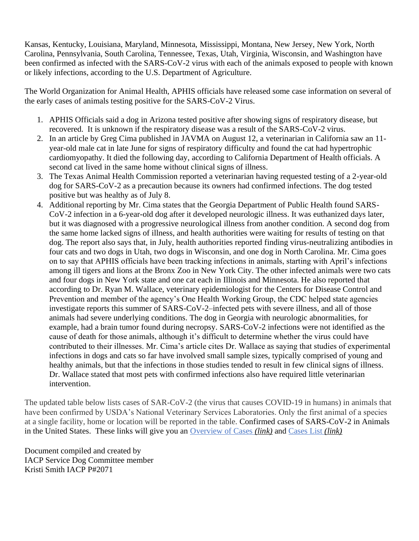Kansas, Kentucky, Louisiana, Maryland, Minnesota, Mississippi, Montana, New Jersey, New York, North Carolina, Pennsylvania, South Carolina, Tennessee, Texas, Utah, Virginia, Wisconsin, and Washington have been confirmed as infected with the SARS-CoV-2 virus with each of the animals exposed to people with known or likely infections, according to the U.S. Department of Agriculture.

The World Organization for Animal Health, APHIS officials have released some case information on several of the early cases of animals testing positive for the SARS-CoV-2 Virus.

- 1. APHIS Officials said a dog in Arizona tested positive after showing signs of respiratory disease, but recovered. It is unknown if the respiratory disease was a result of the SARS-CoV-2 virus.
- 2. In an article by Greg Cima published in JAVMA on August 12, a veterinarian in California saw an 11 year-old male cat in late June for signs of respiratory difficulty and found the cat had hypertrophic cardiomyopathy. It died the following day, according to California Department of Health officials. A second cat lived in the same home without clinical signs of illness.
- 3. The Texas Animal Health Commission reported a veterinarian having requested testing of a 2-year-old dog for SARS-CoV-2 as a precaution because its owners had confirmed infections. The dog tested positive but was healthy as of July 8.
- 4. Additional reporting by Mr. Cima states that the Georgia Department of Public Health found SARS-CoV-2 infection in a 6-year-old dog after it developed neurologic illness. It was euthanized days later, but it was diagnosed with a progressive neurological illness from another condition. A second dog from the same home lacked signs of illness, and health authorities were waiting for results of testing on that dog. The report also says that, in July, health authorities reported finding virus-neutralizing antibodies in four cats and two dogs in Utah, two dogs in Wisconsin, and one dog in North Carolina. Mr. Cima goes on to say that APHIS officials have been tracking infections in animals, starting with April's infections among ill tigers and lions at the Bronx Zoo in New York City. The other infected animals were two cats and four dogs in New York state and one cat each in Illinois and Minnesota. He also reported that according to Dr. Ryan M. Wallace, veterinary epidemiologist for the Centers for Disease Control and Prevention and member of the agency's One Health Working Group, the CDC helped state agencies investigate reports this summer of SARS-CoV-2–infected pets with severe illness, and all of those animals had severe underlying conditions. The dog in Georgia with neurologic abnormalities, for example, had a brain tumor found during necropsy. SARS-CoV-2 infections were not identified as the cause of death for those animals, although it's difficult to determine whether the virus could have contributed to their illnesses. Mr. Cima's article cites Dr. Wallace as saying that studies of experimental infections in dogs and cats so far have involved small sample sizes, typically comprised of young and healthy animals, but that the infections in those studies tended to result in few clinical signs of illness. Dr. Wallace stated that most pets with confirmed infections also have required little veterinarian intervention.

The updated table below lists cases of SAR-CoV-2 (the virus that causes COVID-19 in humans) in animals that have been confirmed by USDA's National Veterinary Services Laboratories. Only the first animal of a species at a single facility, home or location will be reported in the table. Confirmed cases of SARS-CoV-2 in Animals in the United States. These links will give you an Overview of Cases *(link)* and Cases List *(link)*

Document compiled and created by IACP Service Dog Committee member Kristi Smith IACP P#2071